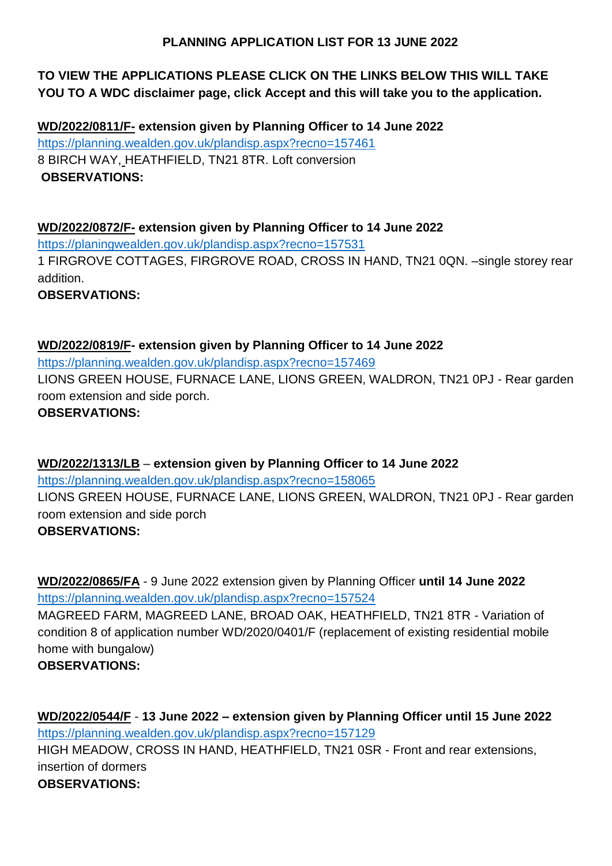#### **PLANNING APPLICATION LIST FOR 13 JUNE 2022**

# **TO VIEW THE APPLICATIONS PLEASE CLICK ON THE LINKS BELOW THIS WILL TAKE YOU TO A WDC disclaimer page, click Accept and this will take you to the application.**

**WD/2022/0811/F- extension given by Planning Officer to 14 June 2022** <https://planning.wealden.gov.uk/plandisp.aspx?recno=157461> 8 BIRCH WAY, HEATHFIELD, TN21 8TR. Loft conversion **OBSERVATIONS:**

**WD/2022/0872/F- extension given by Planning Officer to 14 June 2022** <https://planingwealden.gov.uk/plandisp.aspx?recno=157531> 1 FIRGROVE COTTAGES, FIRGROVE ROAD, CROSS IN HAND, TN21 0QN. –single storey rear addition. **OBSERVATIONS:**

**WD/2022/0819/F- extension given by Planning Officer to 14 June 2022** <https://planning.wealden.gov.uk/plandisp.aspx?recno=157469> LIONS GREEN HOUSE, FURNACE LANE, LIONS GREEN, WALDRON, TN21 0PJ - Rear garden room extension and side porch. **OBSERVATIONS:**

**WD/2022/1313/LB** – **extension given by Planning Officer to 14 June 2022** <https://planning.wealden.gov.uk/plandisp.aspx?recno=158065> LIONS GREEN HOUSE, FURNACE LANE, LIONS GREEN, WALDRON, TN21 0PJ - Rear garden room extension and side porch **OBSERVATIONS:**

**WD/2022/0865/FA** - 9 June 2022 extension given by Planning Officer **until 14 June 2022** <https://planning.wealden.gov.uk/plandisp.aspx?recno=157524> MAGREED FARM, MAGREED LANE, BROAD OAK, HEATHFIELD, TN21 8TR - Variation of condition 8 of application number WD/2020/0401/F (replacement of existing residential mobile home with bungalow) **OBSERVATIONS:** 

**WD/2022/0544/F** - **13 June 2022 – extension given by Planning Officer until 15 June 2022** <https://planning.wealden.gov.uk/plandisp.aspx?recno=157129> HIGH MEADOW, CROSS IN HAND, HEATHFIELD, TN21 0SR - Front and rear extensions, insertion of dormers **OBSERVATIONS:**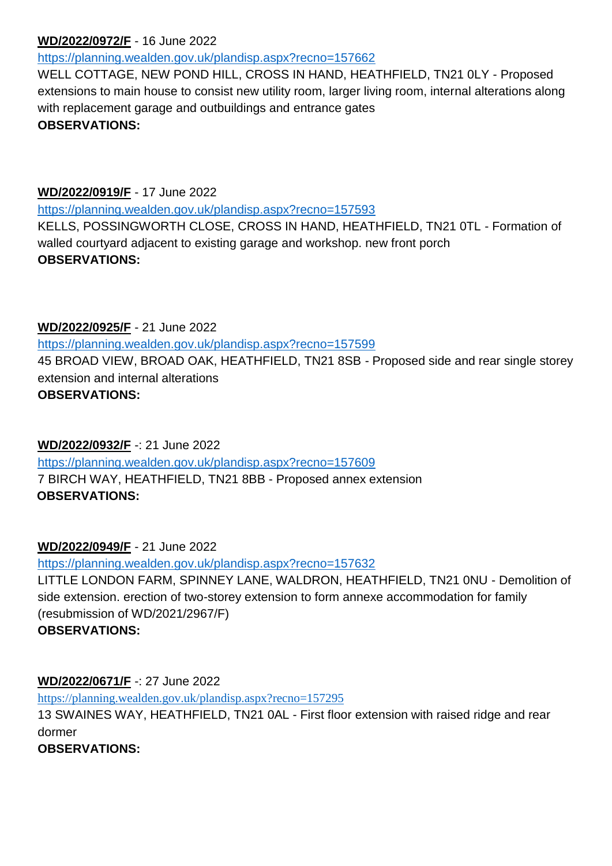#### **WD/2022/0972/F** - 16 June 2022

<https://planning.wealden.gov.uk/plandisp.aspx?recno=157662>

WELL COTTAGE, NEW POND HILL, CROSS IN HAND, HEATHFIELD, TN21 0LY - Proposed extensions to main house to consist new utility room, larger living room, internal alterations along with replacement garage and outbuildings and entrance gates **OBSERVATIONS:**

#### **WD/2022/0919/F** - 17 June 2022

<https://planning.wealden.gov.uk/plandisp.aspx?recno=157593>

KELLS, POSSINGWORTH CLOSE, CROSS IN HAND, HEATHFIELD, TN21 0TL - Formation of walled courtyard adjacent to existing garage and workshop. new front porch **OBSERVATIONS:**

#### **WD/2022/0925/F** - 21 June 2022

<https://planning.wealden.gov.uk/plandisp.aspx?recno=157599>

45 BROAD VIEW, BROAD OAK, HEATHFIELD, TN21 8SB - Proposed side and rear single storey extension and internal alterations

# **OBSERVATIONS:**

# **WD/2022/0932/F** -: 21 June 2022

<https://planning.wealden.gov.uk/plandisp.aspx?recno=157609> 7 BIRCH WAY, HEATHFIELD, TN21 8BB - Proposed annex extension **OBSERVATIONS:** 

# **WD/2022/0949/F** - 21 June 2022

<https://planning.wealden.gov.uk/plandisp.aspx?recno=157632>

LITTLE LONDON FARM, SPINNEY LANE, WALDRON, HEATHFIELD, TN21 0NU - Demolition of side extension. erection of two-storey extension to form annexe accommodation for family (resubmission of WD/2021/2967/F) **OBSERVATIONS:**

# **WD/2022/0671/F** -: 27 June 2022

<https://planning.wealden.gov.uk/plandisp.aspx?recno=157295> 13 SWAINES WAY, HEATHFIELD, TN21 0AL - First floor extension with raised ridge and rear dormer **OBSERVATIONS:**